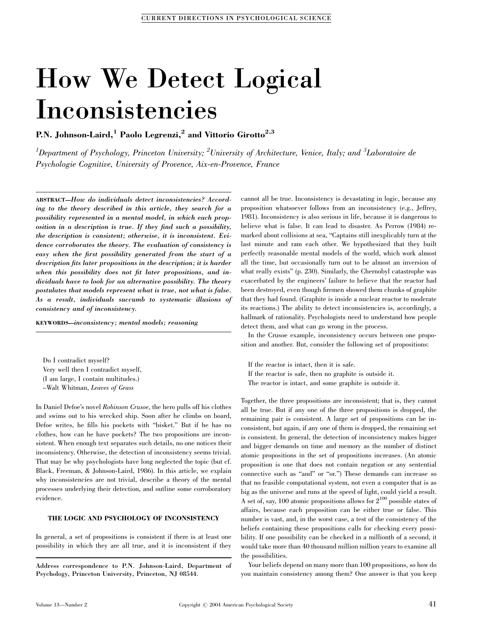# How We Detect Logical Inconsistencies

P.N. Johnson-Laird,<sup>1</sup> Paolo Legrenzi,<sup>2</sup> and Vittorio Girotto<sup>2,3</sup>

 $^1$ Department of Psychology, Princeton University;  $^2$ University of Architecture, Venice, Italy; and  $^3$ Laboratoire de Psychologie Cognitive, University of Provence, Aix-en-Provence, France

ABSTRACT—How do individuals detect inconsistencies? According to the theory described in this article, they search for a possibility represented in a mental model, in which each proposition in a description is true. If they find such a possibility, the description is consistent; otherwise, it is inconsistent. Evidence corroborates the theory. The evaluation of consistency is easy when the first possibility generated from the start of a description fits later propositions in the description; it is harder when this possibility does not fit later propositions, and individuals have to look for an alternative possibility. The theory postulates that models represent what is true, not what is false. As a result, individuals succumb to systematic illusions of consistency and of inconsistency.

KEYWORDS—inconsistency; mental models; reasoning

Do I contradict myself? Very well then I contradict myself, (I am large, I contain multitudes.) –Walt Whitman, Leaves of Grass

In Daniel Defoe's novel Robinson Crusoe, the hero pulls off his clothes and swims out to his wrecked ship. Soon after he climbs on board, Defoe writes, he fills his pockets with ''bisket.'' But if he has no clothes, how can he have pockets? The two propositions are inconsistent. When enough text separates such details, no one notices their inconsistency. Otherwise, the detection of inconsistency seems trivial. That may be why psychologists have long neglected the topic (but cf. Black, Freeman, & Johnson-Laird, 1986). In this article, we explain why inconsistencies are not trivial, describe a theory of the mental processes underlying their detection, and outline some corroboratory evidence.

### THE LOGIC AND PSYCHOLOGY OF INCONSISTENCY

In general, a set of propositions is consistent if there is at least one possibility in which they are all true, and it is inconsistent if they

Address correspondence to P.N. Johnson-Laird, Department of Psychology, Princeton University, Princeton, NJ 08544.

cannot all be true. Inconsistency is devastating in logic, because any proposition whatsoever follows from an inconsistency (e.g., Jeffrey, 1981). Inconsistency is also serious in life, because it is dangerous to believe what is false. It can lead to disaster. As Perrow (1984) remarked about collisions at sea, ''Captains still inexplicably turn at the last minute and ram each other. We hypothesized that they built perfectly reasonable mental models of the world, which work almost all the time, but occasionally turn out to be almost an inversion of what really exists'' (p. 230). Similarly, the Chernobyl catastrophe was exacerbated by the engineers' failure to believe that the reactor had been destroyed, even though firemen showed them chunks of graphite that they had found. (Graphite is inside a nuclear reactor to moderate its reactions.) The ability to detect inconsistencies is, accordingly, a hallmark of rationality. Psychologists need to understand how people detect them, and what can go wrong in the process.

In the Crusoe example, inconsistency occurs between one proposition and another. But, consider the following set of propositions:

If the reactor is intact, then it is safe. If the reactor is safe, then no graphite is outside it. The reactor is intact, and some graphite is outside it.

Together, the three propositions are inconsistent; that is, they cannot all be true. But if any one of the three propositions is dropped, the remaining pair is consistent. A large set of propositions can be inconsistent, but again, if any one of them is dropped, the remaining set is consistent. In general, the detection of inconsistency makes bigger and bigger demands on time and memory as the number of distinct atomic propositions in the set of propositions increases. (An atomic proposition is one that does not contain negation or any sentential connective such as "and" or "or.") These demands can increase so that no feasible computational system, not even a computer that is as big as the universe and runs at the speed of light, could yield a result. A set of, say, 100 atomic propositions allows for  $2^{100}$  possible states of affairs, because each proposition can be either true or false. This number is vast, and, in the worst case, a test of the consistency of the beliefs containing these propositions calls for checking every possibility. If one possibility can be checked in a millionth of a second, it would take more than 40 thousand million million years to examine all the possibilities.

Your beliefs depend on many more than 100 propositions, so how do you maintain consistency among them? One answer is that you keep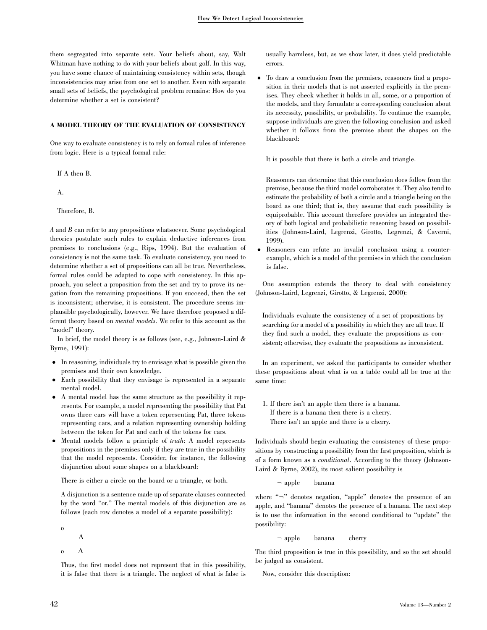them segregated into separate sets. Your beliefs about, say, Walt Whitman have nothing to do with your beliefs about golf. In this way, you have some chance of maintaining consistency within sets, though inconsistencies may arise from one set to another. Even with separate small sets of beliefs, the psychological problem remains: How do you determine whether a set is consistent?

### A MODEL THEORY OF THE EVALUATION OF CONSISTENCY

One way to evaluate consistency is to rely on formal rules of inference from logic. Here is a typical formal rule:

If A then B.

A.

 $A$  and  $B$  can refer to any propositions whatsoever. Some psychological theories postulate such rules to explain deductive inferences from premises to conclusions (e.g., Rips, 1994). But the evaluation of consistency is not the same task. To evaluate consistency, you need to determine whether a set of propositions can all be true. Nevertheless, formal rules could be adapted to cope with consistency. In this approach, you select a proposition from the set and try to prove its negation from the remaining propositions. If you succeed, then the set is inconsistent; otherwise, it is consistent. The procedure seems implausible psychologically, however. We have therefore proposed a different theory based on mental models. We refer to this account as the "model" theory.

In brief, the model theory is as follows (see, e.g., Johnson-Laird & Byrne, 1991):

- In reasoning, individuals try to envisage what is possible given the premises and their own knowledge.
- Each possibility that they envisage is represented in a separate mental model.
- A mental model has the same structure as the possibility it represents. For example, a model representing the possibility that Pat owns three cars will have a token representing Pat, three tokens representing cars, and a relation representing ownership holding between the token for Pat and each of the tokens for cars.
- Mental models follow a principle of truth: A model represents propositions in the premises only if they are true in the possibility that the model represents. Consider, for instance, the following disjunction about some shapes on a blackboard:

There is either a circle on the board or a triangle, or both.

A disjunction is a sentence made up of separate clauses connected by the word "or." The mental models of this disjunction are as follows (each row denotes a model of a separate possibility):

o  $\Delta$ 

 $\alpha$   $\Delta$ 

Thus, the first model does not represent that in this possibility, it is false that there is a triangle. The neglect of what is false is usually harmless, but, as we show later, it does yield predictable errors.

 To draw a conclusion from the premises, reasoners find a proposition in their models that is not asserted explicitly in the premises. They check whether it holds in all, some, or a proportion of the models, and they formulate a corresponding conclusion about its necessity, possibility, or probability. To continue the example, suppose individuals are given the following conclusion and asked whether it follows from the premise about the shapes on the blackboard:

It is possible that there is both a circle and triangle.

Reasoners can determine that this conclusion does follow from the premise, because the third model corroborates it. They also tend to estimate the probability of both a circle and a triangle being on the board as one third; that is, they assume that each possibility is equiprobable. This account therefore provides an integrated theory of both logical and probabilistic reasoning based on possibilities (Johnson-Laird, Legrenzi, Girotto, Legrenzi, & Caverni, 1999).

 Reasoners can refute an invalid conclusion using a counterexample, which is a model of the premises in which the conclusion is false.

One assumption extends the theory to deal with consistency (Johnson-Laird, Legrenzi, Girotto, & Legrenzi, 2000):

Individuals evaluate the consistency of a set of propositions by searching for a model of a possibility in which they are all true. If they find such a model, they evaluate the propositions as consistent; otherwise, they evaluate the propositions as inconsistent.

In an experiment, we asked the participants to consider whether these propositions about what is on a table could all be true at the same time:

1. If there isn't an apple then there is a banana. If there is a banana then there is a cherry. There isn't an apple and there is a cherry.

Individuals should begin evaluating the consistency of these propositions by constructing a possibility from the first proposition, which is of a form known as a conditional. According to the theory (Johnson-Laird & Byrne, 2002), its most salient possibility is

 $\neg$  apple banana

where " $\neg$ " denotes negation, "apple" denotes the presence of an apple, and ''banana'' denotes the presence of a banana. The next step is to use the information in the second conditional to ''update'' the possibility:

 $\neg$  apple banana cherry

The third proposition is true in this possibility, and so the set should be judged as consistent.

Now, consider this description: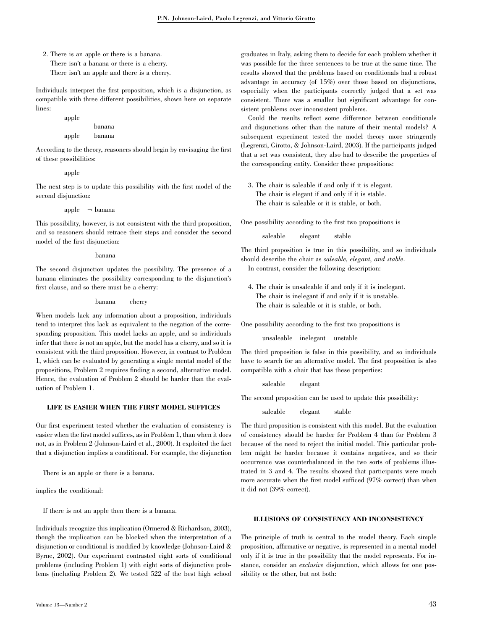2. There is an apple or there is a banana.

There isn't a banana or there is a cherry. There isn't an apple and there is a cherry.

Individuals interpret the first proposition, which is a disjunction, as compatible with three different possibilities, shown here on separate lines:

> apple banana apple banana

According to the theory, reasoners should begin by envisaging the first of these possibilities:

apple

The next step is to update this possibility with the first model of the second disjunction:

apple  $\lnot$  banana

This possibility, however, is not consistent with the third proposition, and so reasoners should retrace their steps and consider the second model of the first disjunction:

banana

The second disjunction updates the possibility. The presence of a banana eliminates the possibility corresponding to the disjunction's first clause, and so there must be a cherry:

banana cherry

When models lack any information about a proposition, individuals tend to interpret this lack as equivalent to the negation of the corresponding proposition. This model lacks an apple, and so individuals infer that there is not an apple, but the model has a cherry, and so it is consistent with the third proposition. However, in contrast to Problem 1, which can be evaluated by generating a single mental model of the propositions, Problem 2 requires finding a second, alternative model. Hence, the evaluation of Problem 2 should be harder than the evaluation of Problem 1.

#### LIFE IS EASIER WHEN THE FIRST MODEL SUFFICES

Our first experiment tested whether the evaluation of consistency is easier when the first model suffices, as in Problem 1, than when it does not, as in Problem 2 (Johnson-Laird et al., 2000). It exploited the fact that a disjunction implies a conditional. For example, the disjunction

There is an apple or there is a banana.

implies the conditional:

If there is not an apple then there is a banana.

Individuals recognize this implication (Ormerod & Richardson, 2003), though the implication can be blocked when the interpretation of a disjunction or conditional is modified by knowledge (Johnson-Laird & Byrne, 2002). Our experiment contrasted eight sorts of conditional problems (including Problem 1) with eight sorts of disjunctive problems (including Problem 2). We tested 522 of the best high school

graduates in Italy, asking them to decide for each problem whether it was possible for the three sentences to be true at the same time. The results showed that the problems based on conditionals had a robust advantage in accuracy (of 15%) over those based on disjunctions, especially when the participants correctly judged that a set was consistent. There was a smaller but significant advantage for consistent problems over inconsistent problems.

Could the results reflect some difference between conditionals and disjunctions other than the nature of their mental models? A subsequent experiment tested the model theory more stringently (Legrenzi, Girotto, & Johnson-Laird, 2003). If the participants judged that a set was consistent, they also had to describe the properties of the corresponding entity. Consider these propositions:

3. The chair is saleable if and only if it is elegant. The chair is elegant if and only if it is stable. The chair is saleable or it is stable, or both.

One possibility according to the first two propositions is

saleable elegant stable

The third proposition is true in this possibility, and so individuals should describe the chair as saleable, elegant, and stable. In contrast, consider the following description:

4. The chair is unsaleable if and only if it is inelegant. The chair is inelegant if and only if it is unstable. The chair is saleable or it is stable, or both.

One possibility according to the first two propositions is

unsaleable inelegant unstable

The third proposition is false in this possibility, and so individuals have to search for an alternative model. The first proposition is also compatible with a chair that has these properties:

saleable elegant

The second proposition can be used to update this possibility:

saleable elegant stable

The third proposition is consistent with this model. But the evaluation of consistency should be harder for Problem 4 than for Problem 3 because of the need to reject the initial model. This particular problem might be harder because it contains negatives, and so their occurrence was counterbalanced in the two sorts of problems illustrated in 3 and 4. The results showed that participants were much more accurate when the first model sufficed (97% correct) than when it did not (39% correct).

### ILLUSIONS OF CONSISTENCY AND INCONSISTENCY

The principle of truth is central to the model theory. Each simple proposition, affirmative or negative, is represented in a mental model only if it is true in the possibility that the model represents. For instance, consider an exclusive disjunction, which allows for one possibility or the other, but not both: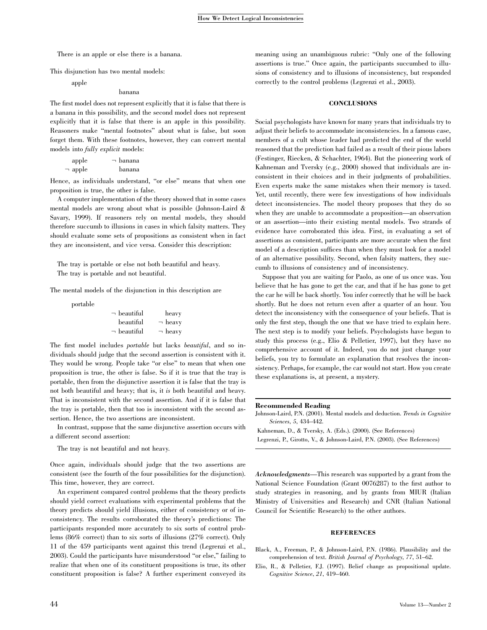There is an apple or else there is a banana.

This disjunction has two mental models:

apple

#### banana

The first model does not represent explicitly that it is false that there is a banana in this possibility, and the second model does not represent explicitly that it is false that there is an apple in this possibility. Reasoners make ''mental footnotes'' about what is false, but soon forget them. With these footnotes, however, they can convert mental models into fully explicit models:

| apple        | $\neg$ banana |
|--------------|---------------|
| $\neg$ apple | banana        |

Hence, as individuals understand, "or else" means that when one proposition is true, the other is false.

A computer implementation of the theory showed that in some cases mental models are wrong about what is possible (Johnson-Laird & Savary, 1999). If reasoners rely on mental models, they should therefore succumb to illusions in cases in which falsity matters. They should evaluate some sets of propositions as consistent when in fact they are inconsistent, and vice versa. Consider this description:

The tray is portable or else not both beautiful and heavy. The tray is portable and not beautiful.

The mental models of the disjunction in this description are

portable

| $\neg$ beautiful | heavy        |
|------------------|--------------|
| beautiful        | $\neg$ heavy |
| $\neg$ beautiful | $\neg$ heavy |

The first model includes portable but lacks beautiful, and so individuals should judge that the second assertion is consistent with it. They would be wrong. People take "or else" to mean that when one proposition is true, the other is false. So if it is true that the tray is portable, then from the disjunctive assertion it is false that the tray is not both beautiful and heavy; that is, it is both beautiful and heavy. That is inconsistent with the second assertion. And if it is false that the tray is portable, then that too is inconsistent with the second assertion. Hence, the two assertions are inconsistent.

In contrast, suppose that the same disjunctive assertion occurs with a different second assertion:

The tray is not beautiful and not heavy.

Once again, individuals should judge that the two assertions are consistent (see the fourth of the four possibilities for the disjunction). This time, however, they are correct.

An experiment compared control problems that the theory predicts should yield correct evaluations with experimental problems that the theory predicts should yield illusions, either of consistency or of inconsistency. The results corroborated the theory's predictions: The participants responded more accurately to six sorts of control problems (86% correct) than to six sorts of illusions (27% correct). Only 11 of the 459 participants went against this trend (Legrenzi et al., 2003). Could the participants have misunderstood ''or else,'' failing to realize that when one of its constituent propositions is true, its other constituent proposition is false? A further experiment conveyed its

meaning using an unambiguous rubric: ''Only one of the following assertions is true.'' Once again, the participants succumbed to illusions of consistency and to illusions of inconsistency, but responded correctly to the control problems (Legrenzi et al., 2003).

## **CONCLUSIONS**

Social psychologists have known for many years that individuals try to adjust their beliefs to accommodate inconsistencies. In a famous case, members of a cult whose leader had predicted the end of the world reasoned that the prediction had failed as a result of their pious labors (Festinger, Riecken, & Schachter, 1964). But the pioneering work of Kahneman and Tversky (e.g., 2000) showed that individuals are inconsistent in their choices and in their judgments of probabilities. Even experts make the same mistakes when their memory is taxed. Yet, until recently, there were few investigations of how individuals detect inconsistencies. The model theory proposes that they do so when they are unable to accommodate a proposition—an observation or an assertion—into their existing mental models. Two strands of evidence have corroborated this idea. First, in evaluating a set of assertions as consistent, participants are more accurate when the first model of a description suffices than when they must look for a model of an alternative possibility. Second, when falsity matters, they succumb to illusions of consistency and of inconsistency.

Suppose that you are waiting for Paolo, as one of us once was. You believe that he has gone to get the car, and that if he has gone to get the car he will be back shortly. You infer correctly that he will be back shortly. But he does not return even after a quarter of an hour. You detect the inconsistency with the consequence of your beliefs. That is only the first step, though the one that we have tried to explain here. The next step is to modify your beliefs. Psychologists have begun to study this process (e.g., Elio & Pelletier, 1997), but they have no comprehensive account of it. Indeed, you do not just change your beliefs, you try to formulate an explanation that resolves the inconsistency. Perhaps, for example, the car would not start. How you create these explanations is, at present, a mystery.

Recommended Reading Johnson-Laird, P.N. (2001). Mental models and deduction. Trends in Cognitive Sciences, 5, 434–442. Kahneman, D., & Tversky, A. (Eds.). (2000). (See References) Legrenzi, P., Girotto, V., & Johnson-Laird, P.N. (2003). (See References)

Acknowledgments—This research was supported by a grant from the National Science Foundation (Grant 0076287) to the first author to study strategies in reasoning, and by grants from MIUR (Italian Ministry of Universities and Research) and CNR (Italian National Council for Scientific Research) to the other authors.

## **REFERENCES**

Black, A., Freeman, P., & Johnson-Laird, P.N. (1986). Plausibility and the comprehension of text. British Journal of Psychology, 77, 51–62.

Elio, R., & Pelletier, F.J. (1997). Belief change as propositional update. Cognitive Science, 21, 419–460.